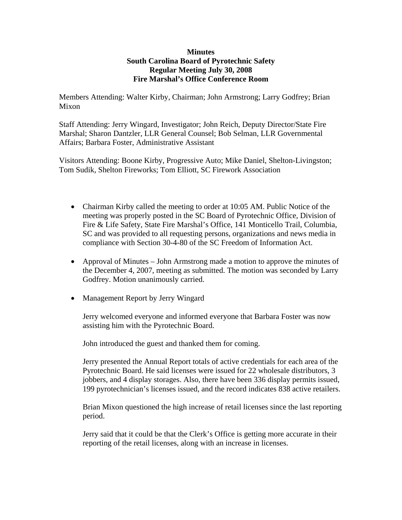## **Minutes South Carolina Board of Pyrotechnic Safety Regular Meeting July 30, 2008 Fire Marshal's Office Conference Room**

Members Attending: Walter Kirby, Chairman; John Armstrong; Larry Godfrey; Brian Mixon

Staff Attending: Jerry Wingard, Investigator; John Reich, Deputy Director/State Fire Marshal; Sharon Dantzler, LLR General Counsel; Bob Selman, LLR Governmental Affairs; Barbara Foster, Administrative Assistant

Visitors Attending: Boone Kirby, Progressive Auto; Mike Daniel, Shelton-Livingston; Tom Sudik, Shelton Fireworks; Tom Elliott, SC Firework Association

- Chairman Kirby called the meeting to order at 10:05 AM. Public Notice of the meeting was properly posted in the SC Board of Pyrotechnic Office, Division of Fire & Life Safety, State Fire Marshal's Office, 141 Monticello Trail, Columbia, SC and was provided to all requesting persons, organizations and news media in compliance with Section 30-4-80 of the SC Freedom of Information Act.
- Approval of Minutes John Armstrong made a motion to approve the minutes of the December 4, 2007, meeting as submitted. The motion was seconded by Larry Godfrey. Motion unanimously carried.
- Management Report by Jerry Wingard

Jerry welcomed everyone and informed everyone that Barbara Foster was now assisting him with the Pyrotechnic Board.

John introduced the guest and thanked them for coming.

Jerry presented the Annual Report totals of active credentials for each area of the Pyrotechnic Board. He said licenses were issued for 22 wholesale distributors, 3 jobbers, and 4 display storages. Also, there have been 336 display permits issued, 199 pyrotechnician's licenses issued, and the record indicates 838 active retailers.

Brian Mixon questioned the high increase of retail licenses since the last reporting period.

Jerry said that it could be that the Clerk's Office is getting more accurate in their reporting of the retail licenses, along with an increase in licenses.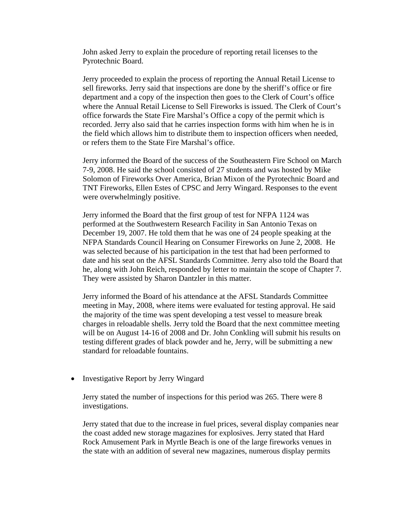John asked Jerry to explain the procedure of reporting retail licenses to the Pyrotechnic Board.

Jerry proceeded to explain the process of reporting the Annual Retail License to sell fireworks. Jerry said that inspections are done by the sheriff's office or fire department and a copy of the inspection then goes to the Clerk of Court's office where the Annual Retail License to Sell Fireworks is issued. The Clerk of Court's office forwards the State Fire Marshal's Office a copy of the permit which is recorded. Jerry also said that he carries inspection forms with him when he is in the field which allows him to distribute them to inspection officers when needed, or refers them to the State Fire Marshal's office.

Jerry informed the Board of the success of the Southeastern Fire School on March 7-9, 2008. He said the school consisted of 27 students and was hosted by Mike Solomon of Fireworks Over America, Brian Mixon of the Pyrotechnic Board and TNT Fireworks, Ellen Estes of CPSC and Jerry Wingard. Responses to the event were overwhelmingly positive.

Jerry informed the Board that the first group of test for NFPA 1124 was performed at the Southwestern Research Facility in San Antonio Texas on December 19, 2007. He told them that he was one of 24 people speaking at the NFPA Standards Council Hearing on Consumer Fireworks on June 2, 2008. He was selected because of his participation in the test that had been performed to date and his seat on the AFSL Standards Committee. Jerry also told the Board that he, along with John Reich, responded by letter to maintain the scope of Chapter 7. They were assisted by Sharon Dantzler in this matter.

Jerry informed the Board of his attendance at the AFSL Standards Committee meeting in May, 2008, where items were evaluated for testing approval. He said the majority of the time was spent developing a test vessel to measure break charges in reloadable shells. Jerry told the Board that the next committee meeting will be on August 14-16 of 2008 and Dr. John Conkling will submit his results on testing different grades of black powder and he, Jerry, will be submitting a new standard for reloadable fountains.

• Investigative Report by Jerry Wingard

Jerry stated the number of inspections for this period was 265. There were 8 investigations.

Jerry stated that due to the increase in fuel prices, several display companies near the coast added new storage magazines for explosives. Jerry stated that Hard Rock Amusement Park in Myrtle Beach is one of the large fireworks venues in the state with an addition of several new magazines, numerous display permits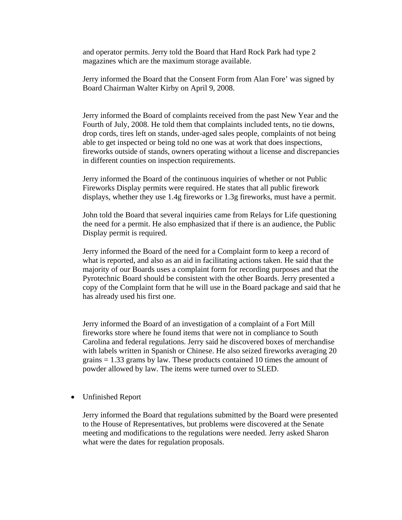and operator permits. Jerry told the Board that Hard Rock Park had type 2 magazines which are the maximum storage available.

Jerry informed the Board that the Consent Form from Alan Fore' was signed by Board Chairman Walter Kirby on April 9, 2008.

Jerry informed the Board of complaints received from the past New Year and the Fourth of July, 2008. He told them that complaints included tents, no tie downs, drop cords, tires left on stands, under-aged sales people, complaints of not being able to get inspected or being told no one was at work that does inspections, fireworks outside of stands, owners operating without a license and discrepancies in different counties on inspection requirements.

Jerry informed the Board of the continuous inquiries of whether or not Public Fireworks Display permits were required. He states that all public firework displays, whether they use 1.4g fireworks or 1.3g fireworks, must have a permit.

John told the Board that several inquiries came from Relays for Life questioning the need for a permit. He also emphasized that if there is an audience, the Public Display permit is required.

Jerry informed the Board of the need for a Complaint form to keep a record of what is reported, and also as an aid in facilitating actions taken. He said that the majority of our Boards uses a complaint form for recording purposes and that the Pyrotechnic Board should be consistent with the other Boards. Jerry presented a copy of the Complaint form that he will use in the Board package and said that he has already used his first one.

Jerry informed the Board of an investigation of a complaint of a Fort Mill fireworks store where he found items that were not in compliance to South Carolina and federal regulations. Jerry said he discovered boxes of merchandise with labels written in Spanish or Chinese. He also seized fireworks averaging 20 grains  $= 1.33$  grams by law. These products contained 10 times the amount of powder allowed by law. The items were turned over to SLED.

• Unfinished Report

Jerry informed the Board that regulations submitted by the Board were presented to the House of Representatives, but problems were discovered at the Senate meeting and modifications to the regulations were needed. Jerry asked Sharon what were the dates for regulation proposals.